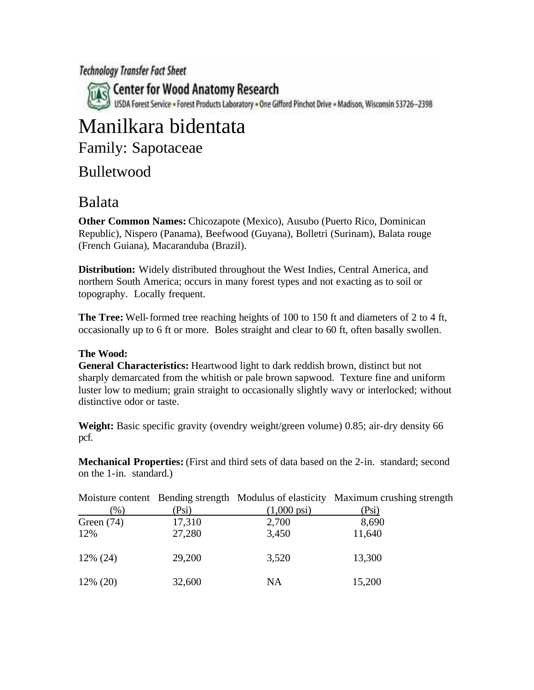**Technology Transfer Fact Sheet** 

Center for Wood Anatomy Research USDA Forest Service = Forest Products Laboratory = One Gifford Pinchot Drive = Madison, Wisconsin 53726-2398

# Manilkara bidentata

Family: Sapotaceae

### Bulletwood

## Balata

**Other Common Names:** Chicozapote (Mexico), Ausubo (Puerto Rico, Dominican Republic), Nispero (Panama), Beefwood (Guyana), Bolletri (Surinam), Balata rouge (French Guiana), Macaranduba (Brazil).

**Distribution:** Widely distributed throughout the West Indies, Central America, and northern South America; occurs in many forest types and not exacting as to soil or topography. Locally frequent.

**The Tree:** Well-formed tree reaching heights of 100 to 150 ft and diameters of 2 to 4 ft, occasionally up to 6 ft or more. Boles straight and clear to 60 ft, often basally swollen.

#### **The Wood:**

**General Characteristics:** Heartwood light to dark reddish brown, distinct but not sharply demarcated from the whitish or pale brown sapwood. Texture fine and uniform luster low to medium; grain straight to occasionally slightly wavy or interlocked; without distinctive odor or taste.

**Weight:** Basic specific gravity (ovendry weight/green volume) 0.85; air-dry density 66 pcf.

**Mechanical Properties:** (First and third sets of data based on the 2-in. standard; second on the 1-in. standard.)

| $(\%)$       | (Psi)  | $(1,000 \,\text{psi})$ | Moisture content Bending strength Modulus of elasticity Maximum crushing strength<br>(Psi) |
|--------------|--------|------------------------|--------------------------------------------------------------------------------------------|
| Green $(74)$ | 17,310 | 2,700                  | 8,690                                                                                      |
| 12%          | 27,280 | 3,450                  | 11,640                                                                                     |
| $12\%$ (24)  | 29,200 | 3,520                  | 13,300                                                                                     |
| $12\%$ (20)  | 32,600 | NA                     | 15,200                                                                                     |